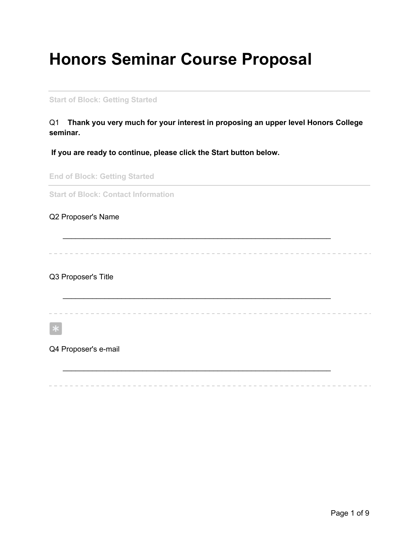## **Honors Seminar Course Proposal**

**Start of Block: Getting Started**

Q1 **Thank you very much for your interest in proposing an upper level Honors College seminar.**

 $\mathcal{L}_\text{max} = \mathcal{L}_\text{max} = \mathcal{L}_\text{max} = \mathcal{L}_\text{max} = \mathcal{L}_\text{max} = \mathcal{L}_\text{max} = \mathcal{L}_\text{max} = \mathcal{L}_\text{max} = \mathcal{L}_\text{max} = \mathcal{L}_\text{max} = \mathcal{L}_\text{max} = \mathcal{L}_\text{max} = \mathcal{L}_\text{max} = \mathcal{L}_\text{max} = \mathcal{L}_\text{max} = \mathcal{L}_\text{max} = \mathcal{L}_\text{max} = \mathcal{L}_\text{max} = \mathcal{$ 

 $\mathcal{L}_\text{max} = \mathcal{L}_\text{max} = \mathcal{L}_\text{max} = \mathcal{L}_\text{max} = \mathcal{L}_\text{max} = \mathcal{L}_\text{max} = \mathcal{L}_\text{max} = \mathcal{L}_\text{max} = \mathcal{L}_\text{max} = \mathcal{L}_\text{max} = \mathcal{L}_\text{max} = \mathcal{L}_\text{max} = \mathcal{L}_\text{max} = \mathcal{L}_\text{max} = \mathcal{L}_\text{max} = \mathcal{L}_\text{max} = \mathcal{L}_\text{max} = \mathcal{L}_\text{max} = \mathcal{$ 

**If you are ready to continue, please click the Start button below.**

**End of Block: Getting Started**

**Start of Block: Contact Information**

Q2 Proposer's Name

Q3 Proposer's Title

Q4 Proposer's e-mail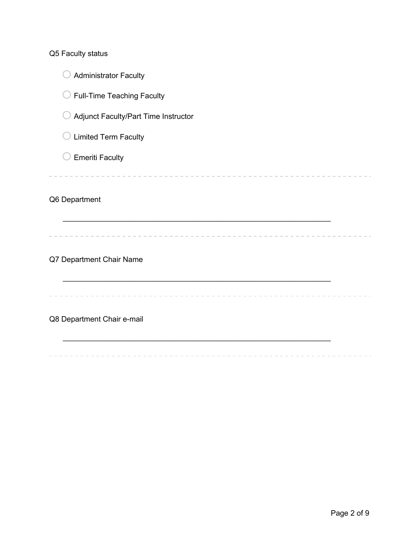Q5 Faculty status

 $\bigcirc$  Administrator Faculty  $\bigcirc$  Full-Time Teaching Faculty o Adjunct Faculty/Part Time Instructor  $\bigcirc$  Limited Term Faculty  $\bigcirc$  Emeriti Faculty Q6 Department  $\mathcal{L}_\text{max} = \mathcal{L}_\text{max} = \mathcal{L}_\text{max} = \mathcal{L}_\text{max} = \mathcal{L}_\text{max} = \mathcal{L}_\text{max} = \mathcal{L}_\text{max} = \mathcal{L}_\text{max} = \mathcal{L}_\text{max} = \mathcal{L}_\text{max} = \mathcal{L}_\text{max} = \mathcal{L}_\text{max} = \mathcal{L}_\text{max} = \mathcal{L}_\text{max} = \mathcal{L}_\text{max} = \mathcal{L}_\text{max} = \mathcal{L}_\text{max} = \mathcal{L}_\text{max} = \mathcal{$ Q7 Department Chair Name Q8 Department Chair e-mail  $\mathcal{L}_\text{max} = \mathcal{L}_\text{max} = \mathcal{L}_\text{max} = \mathcal{L}_\text{max} = \mathcal{L}_\text{max} = \mathcal{L}_\text{max} = \mathcal{L}_\text{max} = \mathcal{L}_\text{max} = \mathcal{L}_\text{max} = \mathcal{L}_\text{max} = \mathcal{L}_\text{max} = \mathcal{L}_\text{max} = \mathcal{L}_\text{max} = \mathcal{L}_\text{max} = \mathcal{L}_\text{max} = \mathcal{L}_\text{max} = \mathcal{L}_\text{max} = \mathcal{L}_\text{max} = \mathcal{$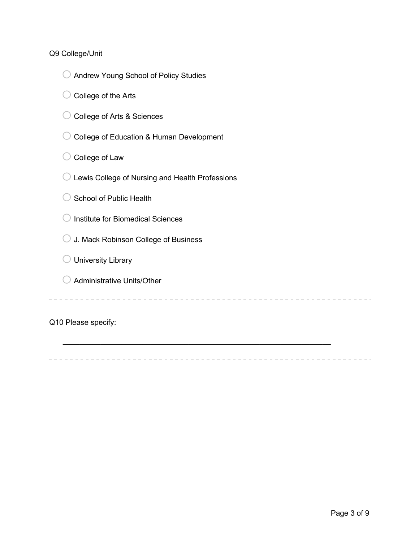## Q9 College/Unit

- o Andrew Young School of Policy Studies
- $\bigcirc$  College of the Arts
- O College of Arts & Sciences
- O College of Education & Human Development
- $\bigcirc$  College of Law
- $\bigcirc$  Lewis College of Nursing and Health Professions
- $\bigcirc$  School of Public Health
- $\bigcirc$  Institute for Biomedical Sciences
- $\bigcirc$  J. Mack Robinson College of Business
- $\bigcirc$  University Library
- $\bigcirc$  Administrative Units/Other

Q10 Please specify:

 $\mathcal{L}_\text{max} = \mathcal{L}_\text{max} = \mathcal{L}_\text{max} = \mathcal{L}_\text{max} = \mathcal{L}_\text{max} = \mathcal{L}_\text{max} = \mathcal{L}_\text{max} = \mathcal{L}_\text{max} = \mathcal{L}_\text{max} = \mathcal{L}_\text{max} = \mathcal{L}_\text{max} = \mathcal{L}_\text{max} = \mathcal{L}_\text{max} = \mathcal{L}_\text{max} = \mathcal{L}_\text{max} = \mathcal{L}_\text{max} = \mathcal{L}_\text{max} = \mathcal{L}_\text{max} = \mathcal{$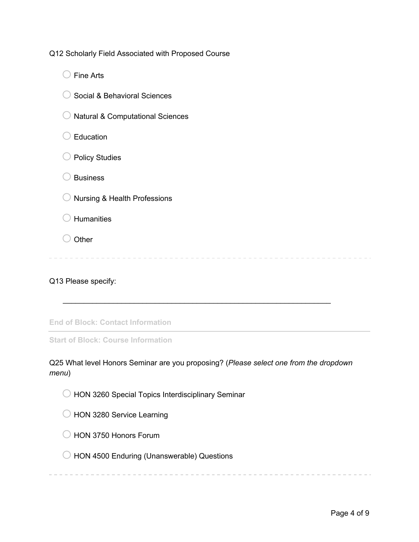Q12 Scholarly Field Associated with Proposed Course

 $\bigcirc$  Fine Arts ◯ Social & Behavioral Sciences  $\bigcirc$  Natural & Computational Sciences  $\bigcirc$  Education  $\bigcirc$  Policy Studies  $\bigcirc$  Business  $\bigcirc$  Nursing & Health Professions  $\bigcirc$  Humanities  $\bigcirc$  Other 

Q13 Please specify:

**End of Block: Contact Information**

**Start of Block: Course Information**

Q25 What level Honors Seminar are you proposing? (*Please select one from the dropdown menu*)

 $\mathcal{L}_\text{max} = \mathcal{L}_\text{max} = \mathcal{L}_\text{max} = \mathcal{L}_\text{max} = \mathcal{L}_\text{max} = \mathcal{L}_\text{max} = \mathcal{L}_\text{max} = \mathcal{L}_\text{max} = \mathcal{L}_\text{max} = \mathcal{L}_\text{max} = \mathcal{L}_\text{max} = \mathcal{L}_\text{max} = \mathcal{L}_\text{max} = \mathcal{L}_\text{max} = \mathcal{L}_\text{max} = \mathcal{L}_\text{max} = \mathcal{L}_\text{max} = \mathcal{L}_\text{max} = \mathcal{$ 

- $\bigcirc$  HON 3260 Special Topics Interdisciplinary Seminar
- O HON 3280 Service Learning
- $\bigcirc$  HON 3750 Honors Forum
- $\bigcirc$  HON 4500 Enduring (Unanswerable) Questions

----------------------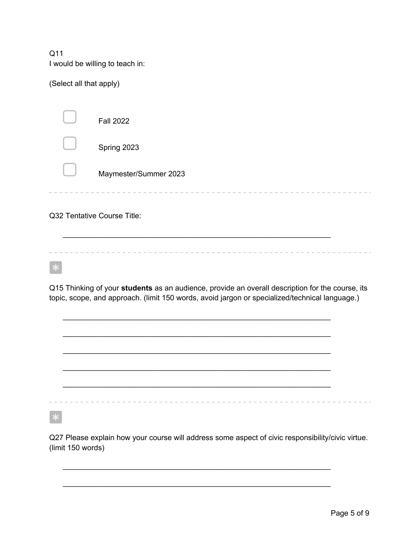Q11 I would be willing to teach in:

(Select all that apply)

| <b>Fall 2022</b>      |
|-----------------------|
| Spring 2023           |
| Maymester/Summer 2023 |
|                       |
|                       |

Q32 Tentative Course Title:

 $\mathcal{L}_\text{max} = \mathcal{L}_\text{max} = \mathcal{L}_\text{max} = \mathcal{L}_\text{max} = \mathcal{L}_\text{max} = \mathcal{L}_\text{max} = \mathcal{L}_\text{max} = \mathcal{L}_\text{max} = \mathcal{L}_\text{max} = \mathcal{L}_\text{max} = \mathcal{L}_\text{max} = \mathcal{L}_\text{max} = \mathcal{L}_\text{max} = \mathcal{L}_\text{max} = \mathcal{L}_\text{max} = \mathcal{L}_\text{max} = \mathcal{L}_\text{max} = \mathcal{L}_\text{max} = \mathcal{$ 

Q15 Thinking of your **students** as an audience, provide an overall description for the course, its topic, scope, and approach. (limit 150 words, avoid jargon or specialized/technical language.)

 $\mathcal{L}_\text{max} = \mathcal{L}_\text{max} = \mathcal{L}_\text{max} = \mathcal{L}_\text{max} = \mathcal{L}_\text{max} = \mathcal{L}_\text{max} = \mathcal{L}_\text{max} = \mathcal{L}_\text{max} = \mathcal{L}_\text{max} = \mathcal{L}_\text{max} = \mathcal{L}_\text{max} = \mathcal{L}_\text{max} = \mathcal{L}_\text{max} = \mathcal{L}_\text{max} = \mathcal{L}_\text{max} = \mathcal{L}_\text{max} = \mathcal{L}_\text{max} = \mathcal{L}_\text{max} = \mathcal{$ 

 $\mathcal{L}_\text{max} = \mathcal{L}_\text{max} = \mathcal{L}_\text{max} = \mathcal{L}_\text{max} = \mathcal{L}_\text{max} = \mathcal{L}_\text{max} = \mathcal{L}_\text{max} = \mathcal{L}_\text{max} = \mathcal{L}_\text{max} = \mathcal{L}_\text{max} = \mathcal{L}_\text{max} = \mathcal{L}_\text{max} = \mathcal{L}_\text{max} = \mathcal{L}_\text{max} = \mathcal{L}_\text{max} = \mathcal{L}_\text{max} = \mathcal{L}_\text{max} = \mathcal{L}_\text{max} = \mathcal{$ 

 $\mathcal{L}_\text{max}$  , and the contract of the contract of the contract of the contract of the contract of the contract of

 $\mathcal{L}_\text{max} = \mathcal{L}_\text{max} = \mathcal{L}_\text{max} = \mathcal{L}_\text{max} = \mathcal{L}_\text{max} = \mathcal{L}_\text{max} = \mathcal{L}_\text{max} = \mathcal{L}_\text{max} = \mathcal{L}_\text{max} = \mathcal{L}_\text{max} = \mathcal{L}_\text{max} = \mathcal{L}_\text{max} = \mathcal{L}_\text{max} = \mathcal{L}_\text{max} = \mathcal{L}_\text{max} = \mathcal{L}_\text{max} = \mathcal{L}_\text{max} = \mathcal{L}_\text{max} = \mathcal{$ 

Q27 Please explain how your course will address some aspect of civic responsibility/civic virtue. (limit 150 words)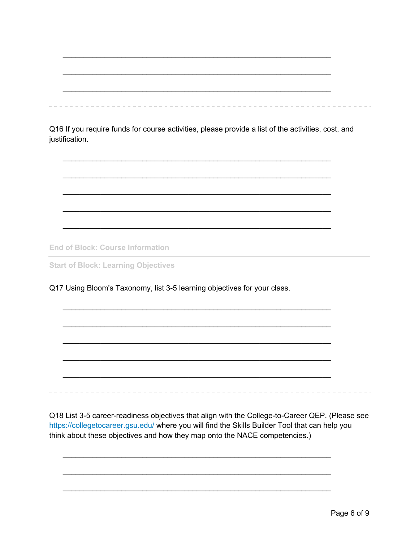Q16 If you require funds for course activities, please provide a list of the activities, cost, and justification.

**End of Block: Course Information** 

**Start of Block: Learning Objectives** 

Q17 Using Bloom's Taxonomy, list 3-5 learning objectives for your class.

Q18 List 3-5 career-readiness objectives that align with the College-to-Career QEP. (Please see https://collegetocareer.gsu.edu/ where you will find the Skills Builder Tool that can help you think about these objectives and how they map onto the NACE competencies.)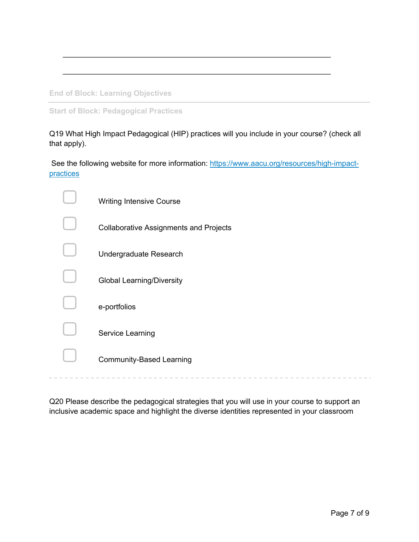**End of Block: Learning Objectives**

**Start of Block: Pedagogical Practices**

Q19 What High Impact Pedagogical (HIP) practices will you include in your course? (check all that apply).

 $\mathcal{L}_\text{max} = \mathcal{L}_\text{max} = \mathcal{L}_\text{max} = \mathcal{L}_\text{max} = \mathcal{L}_\text{max} = \mathcal{L}_\text{max} = \mathcal{L}_\text{max} = \mathcal{L}_\text{max} = \mathcal{L}_\text{max} = \mathcal{L}_\text{max} = \mathcal{L}_\text{max} = \mathcal{L}_\text{max} = \mathcal{L}_\text{max} = \mathcal{L}_\text{max} = \mathcal{L}_\text{max} = \mathcal{L}_\text{max} = \mathcal{L}_\text{max} = \mathcal{L}_\text{max} = \mathcal{$ 

 $\mathcal{L}_\text{max} = \mathcal{L}_\text{max} = \mathcal{L}_\text{max} = \mathcal{L}_\text{max} = \mathcal{L}_\text{max} = \mathcal{L}_\text{max} = \mathcal{L}_\text{max} = \mathcal{L}_\text{max} = \mathcal{L}_\text{max} = \mathcal{L}_\text{max} = \mathcal{L}_\text{max} = \mathcal{L}_\text{max} = \mathcal{L}_\text{max} = \mathcal{L}_\text{max} = \mathcal{L}_\text{max} = \mathcal{L}_\text{max} = \mathcal{L}_\text{max} = \mathcal{L}_\text{max} = \mathcal{$ 

See the following website for more information: https://www.aacu.org/resources/high-impactpractices

| <b>Writing Intensive Course</b>               |
|-----------------------------------------------|
| <b>Collaborative Assignments and Projects</b> |
| Undergraduate Research                        |
| <b>Global Learning/Diversity</b>              |
| e-portfolios                                  |
| Service Learning                              |
| <b>Community-Based Learning</b>               |

Q20 Please describe the pedagogical strategies that you will use in your course to support an inclusive academic space and highlight the diverse identities represented in your classroom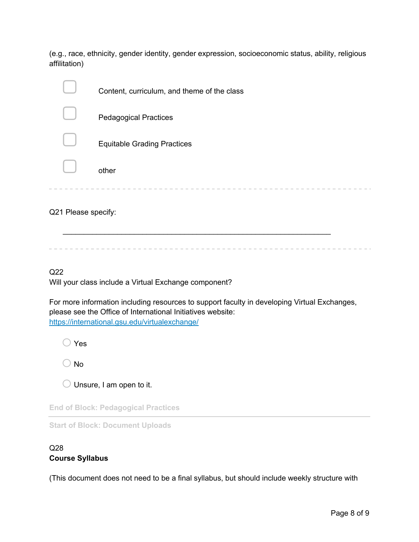(e.g., race, ethnicity, gender identity, gender expression, socioeconomic status, ability, religious affilitation)

|                     | Content, curriculum, and theme of the class |
|---------------------|---------------------------------------------|
|                     | <b>Pedagogical Practices</b>                |
|                     | <b>Equitable Grading Practices</b>          |
|                     | other                                       |
| Q21 Please specify: |                                             |

Q22 Will your class include a Virtual Exchange component?

For more information including resources to support faculty in developing Virtual Exchanges, please see the Office of International Initiatives website: https://international.gsu.edu/virtualexchange/

 $\bigcirc$  Yes

 $\bigcirc$  No

 $\bigcirc$  Unsure, I am open to it.

**End of Block: Pedagogical Practices**

**Start of Block: Document Uploads**

## Q28 **Course Syllabus**

(This document does not need to be a final syllabus, but should include weekly structure with